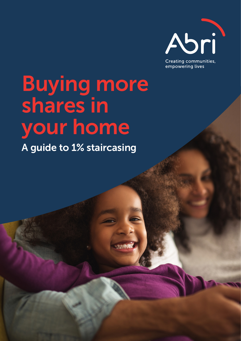

Buying more shares in your home

A guide to 1% staircasing